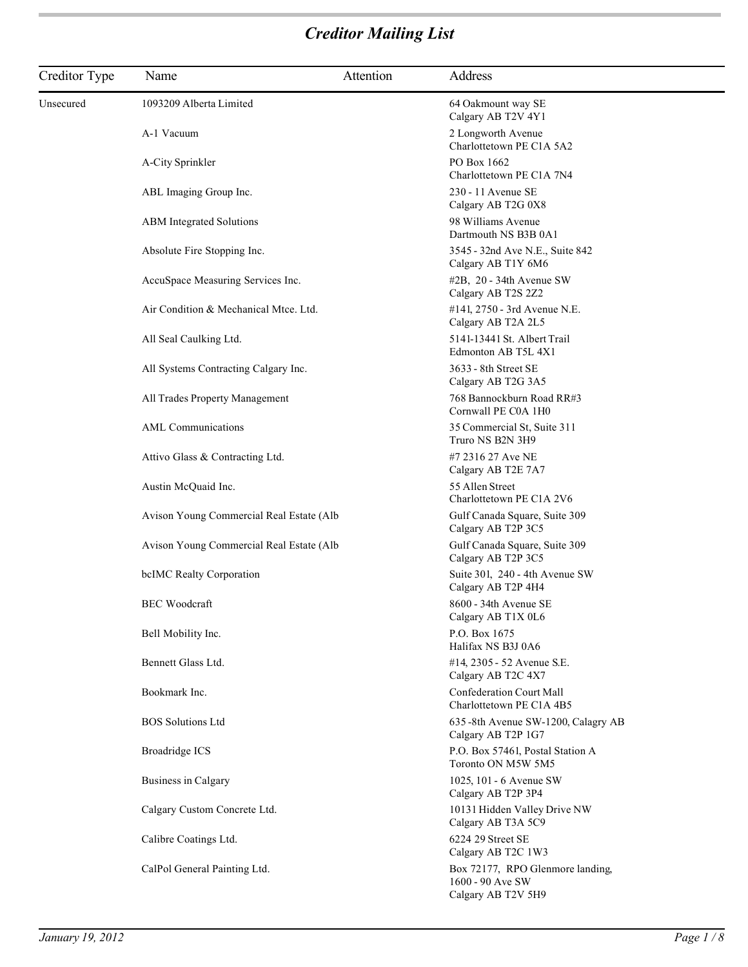| Creditor Type | Name                                                                                             | Attention | Address                                                                    |
|---------------|--------------------------------------------------------------------------------------------------|-----------|----------------------------------------------------------------------------|
| Unsecured     | 1093209 Alberta Limited                                                                          |           | 64 Oakmount way SE<br>Calgary AB T2V 4Y1                                   |
|               | A-1 Vacuum                                                                                       |           | 2 Longworth Avenue<br>Charlottetown PE C1A 5A2                             |
|               | A-City Sprinkler                                                                                 |           | PO Box 1662<br>Charlottetown PE C1A 7N4                                    |
|               | ABL Imaging Group Inc.                                                                           |           | 230 - 11 Avenue SE<br>Calgary AB T2G 0X8                                   |
|               | <b>ABM</b> Integrated Solutions                                                                  |           | 98 Williams Avenue<br>Dartmouth NS B3B 0A1                                 |
|               | Absolute Fire Stopping Inc.                                                                      |           | 3545 - 32nd Ave N.E., Suite 842<br>Calgary AB T1Y 6M6                      |
|               | AccuSpace Measuring Services Inc.                                                                |           | $#2B$ , 20 - 34th Avenue SW<br>Calgary AB T2S 2Z2                          |
|               | Air Condition & Mechanical Mtce. Ltd.                                                            |           | #141, 2750 - 3rd Avenue N.E.<br>Calgary AB T2A 2L5                         |
|               | All Seal Caulking Ltd.<br>All Systems Contracting Calgary Inc.<br>All Trades Property Management |           | 5141-13441 St. Albert Trail<br>Edmonton AB T5L 4X1                         |
|               |                                                                                                  |           | 3633 - 8th Street SE<br>Calgary AB T2G 3A5                                 |
|               |                                                                                                  |           | 768 Bannockburn Road RR#3<br>Cornwall PE C0A 1H0                           |
|               | AML Communications                                                                               |           | 35 Commercial St, Suite 311<br>Truro NS B2N 3H9                            |
|               | Attivo Glass & Contracting Ltd.                                                                  |           | #7 2316 27 Ave NE<br>Calgary AB T2E 7A7                                    |
|               | Austin McQuaid Inc.                                                                              |           | 55 Allen Street<br>Charlottetown PE C1A 2V6                                |
|               | Avison Young Commercial Real Estate (Alb                                                         |           | Gulf Canada Square, Suite 309<br>Calgary AB T2P 3C5                        |
|               | Avison Young Commercial Real Estate (Alb                                                         |           | Gulf Canada Square, Suite 309<br>Calgary AB T2P 3C5                        |
|               | bcIMC Realty Corporation                                                                         |           | Suite 301, 240 - 4th Avenue SW<br>Calgary AB T2P 4H4                       |
|               | <b>BEC</b> Woodcraft                                                                             |           | $8600 - 34$ th Avenue SE<br>Calgary AB T1X 0L6                             |
|               | Bell Mobility Inc.                                                                               |           | P.O. Box 1675<br>Halifax NS B3J 0A6                                        |
|               | Bennett Glass Ltd.                                                                               |           | #14, 2305 - 52 Avenue S.E.<br>Calgary AB T2C 4X7                           |
|               | Bookmark Inc.                                                                                    |           | <b>Confederation Court Mall</b><br>Charlottetown PE C1A 4B5                |
|               | <b>BOS</b> Solutions Ltd                                                                         |           | 635-8th Avenue SW-1200, Calagry AB<br>Calgary AB T2P 1G7                   |
|               | <b>Broadridge ICS</b>                                                                            |           | P.O. Box 57461, Postal Station A<br>Toronto ON M5W 5M5                     |
|               | <b>Business in Calgary</b>                                                                       |           | 1025, 101 - 6 Avenue SW<br>Calgary AB T2P 3P4                              |
|               | Calgary Custom Concrete Ltd.                                                                     |           | 10131 Hidden Valley Drive NW<br>Calgary AB T3A 5C9                         |
|               | Calibre Coatings Ltd.                                                                            |           | 6224 29 Street SE<br>Calgary AB T2C 1W3                                    |
|               | CalPol General Painting Ltd.                                                                     |           | Box 72177, RPO Glenmore landing,<br>1600 - 90 Ave SW<br>Calgary AB T2V 5H9 |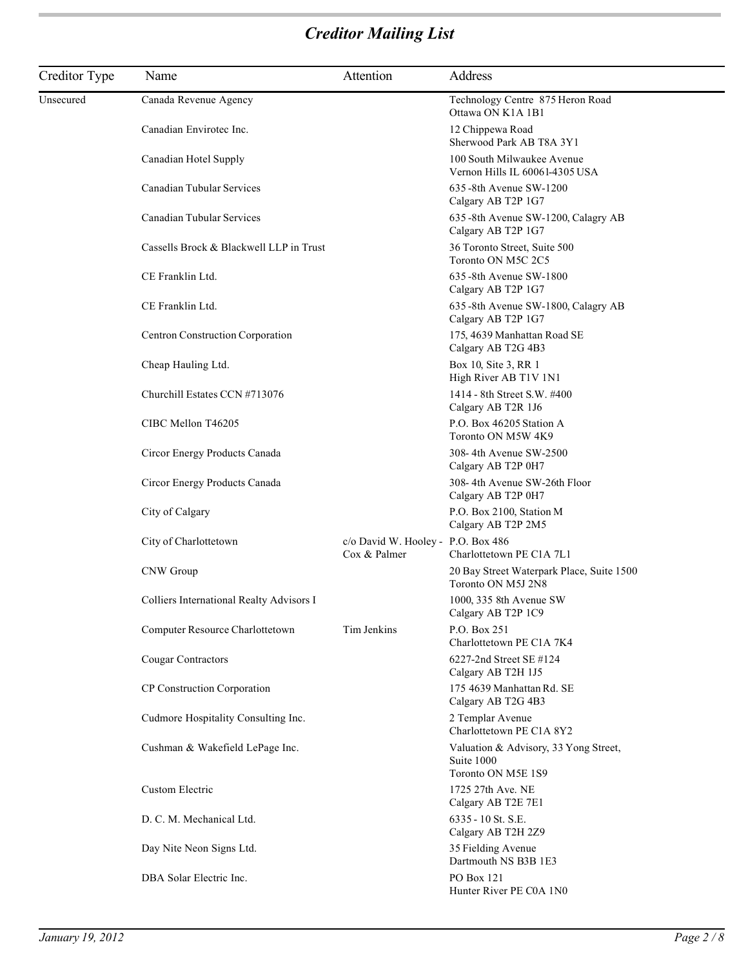| Creditor Type | Name                                     | Attention                                          | Address                                                         |
|---------------|------------------------------------------|----------------------------------------------------|-----------------------------------------------------------------|
| Unsecured     | Canada Revenue Agency                    |                                                    | Technology Centre 875 Heron Road<br>Ottawa ON K1A 1B1           |
|               | Canadian Envirotec Inc.                  |                                                    | 12 Chippewa Road<br>Sherwood Park AB T8A 3Y1                    |
|               | Canadian Hotel Supply                    |                                                    | 100 South Milwaukee Avenue<br>Vernon Hills IL 60061-4305 USA    |
|               | Canadian Tubular Services                |                                                    | 635 -8th Avenue SW-1200<br>Calgary AB T2P 1G7                   |
|               | Canadian Tubular Services                |                                                    | 635-8th Avenue SW-1200, Calagry AB<br>Calgary AB T2P 1G7        |
|               | Cassells Brock & Blackwell LLP in Trust  |                                                    | 36 Toronto Street, Suite 500<br>Toronto ON M5C 2C5              |
|               | CE Franklin Ltd.                         |                                                    | 635 -8th Avenue SW-1800<br>Calgary AB T2P 1G7                   |
|               | CE Franklin Ltd.                         |                                                    | 635-8th Avenue SW-1800, Calagry AB<br>Calgary AB T2P 1G7        |
|               | Centron Construction Corporation         |                                                    | 175, 4639 Manhattan Road SE<br>Calgary AB T2G 4B3               |
|               | Cheap Hauling Ltd.                       |                                                    | Box 10, Site 3, RR 1<br>High River AB T1V 1N1                   |
|               | Churchill Estates CCN #713076            |                                                    | 1414 - 8th Street S.W. #400<br>Calgary AB T2R 1J6               |
|               | CIBC Mellon T46205                       |                                                    | P.O. Box 46205 Station A<br>Toronto ON M5W 4K9                  |
|               | Circor Energy Products Canada            |                                                    | 308-4th Avenue SW-2500<br>Calgary AB T2P 0H7                    |
|               | Circor Energy Products Canada            |                                                    | 308-4th Avenue SW-26th Floor<br>Calgary AB T2P 0H7              |
|               | City of Calgary                          |                                                    | P.O. Box 2100, Station M<br>Calgary AB T2P 2M5                  |
|               | City of Charlottetown                    | c/o David W. Hooley - P.O. Box 486<br>Cox & Palmer | Charlottetown PE C1A 7L1                                        |
|               | CNW Group                                |                                                    | 20 Bay Street Waterpark Place, Suite 1500<br>Toronto ON M5J 2N8 |
|               | Colliers International Realty Advisors I |                                                    | 1000, 335 8th Avenue SW<br>Calgary AB T2P 1C9                   |
|               | Computer Resource Charlottetown          | Tim Jenkins                                        | P.O. Box 251<br>Charlottetown PE C1A 7K4                        |
|               | Cougar Contractors                       |                                                    | 6227-2nd Street SE #124<br>Calgary AB T2H 1J5                   |
|               | CP Construction Corporation              |                                                    | 175 4639 Manhattan Rd. SE<br>Calgary AB T2G 4B3                 |
|               | Cudmore Hospitality Consulting Inc.      |                                                    | 2 Templar Avenue<br>Charlottetown PE C1A 8Y2                    |
|               | Cushman & Wakefield LePage Inc.          |                                                    | Valuation & Advisory, 33 Yong Street,<br>Suite 1000             |
|               | Custom Electric                          |                                                    | Toronto ON M5E 1S9<br>1725 27th Ave. NE<br>Calgary AB T2E 7E1   |
|               | D. C. M. Mechanical Ltd.                 |                                                    | 6335 - 10 St. S.E.<br>Calgary AB T2H 2Z9                        |
|               | Day Nite Neon Signs Ltd.                 |                                                    | 35 Fielding Avenue<br>Dartmouth NS B3B 1E3                      |
|               | DBA Solar Electric Inc.                  |                                                    | PO Box 121<br>Hunter River PE C0A 1N0                           |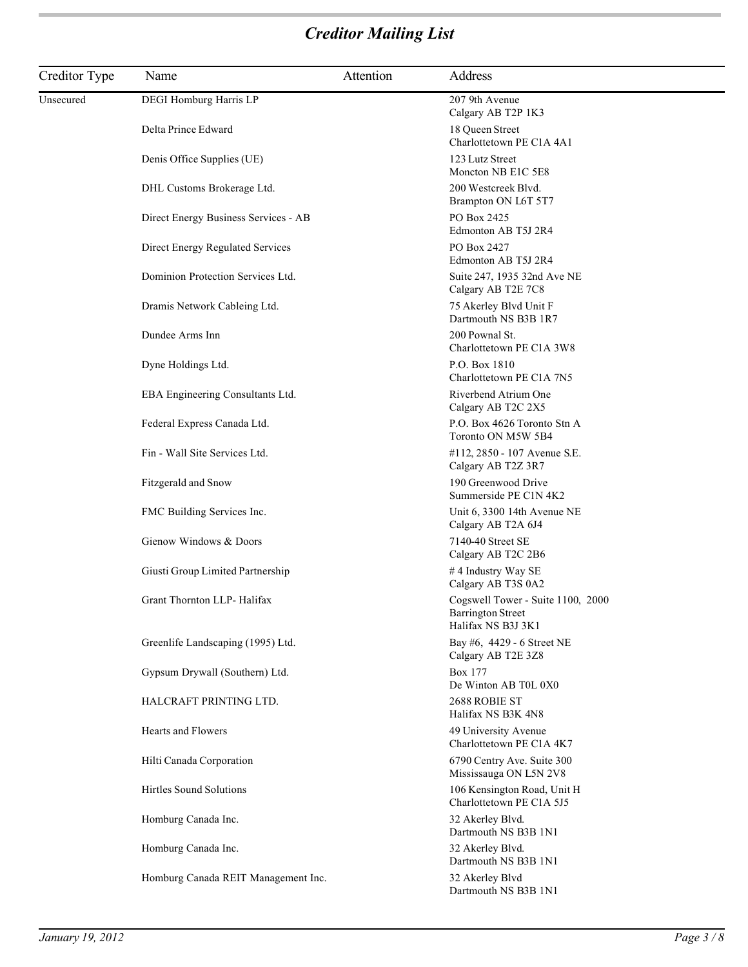| Creditor Type | Name                                 | Attention | Address                                                                             |
|---------------|--------------------------------------|-----------|-------------------------------------------------------------------------------------|
| Unsecured     | DEGI Homburg Harris LP               |           | 207 9th Avenue<br>Calgary AB T2P 1K3                                                |
|               | Delta Prince Edward                  |           | 18 Queen Street<br>Charlottetown PE C1A 4A1                                         |
|               | Denis Office Supplies (UE)           |           | 123 Lutz Street<br>Moncton NB E1C 5E8                                               |
|               | DHL Customs Brokerage Ltd.           |           | 200 Westcreek Blvd.<br>Brampton ON L6T 5T7                                          |
|               | Direct Energy Business Services - AB |           | PO Box 2425<br>Edmonton AB T5J 2R4                                                  |
|               | Direct Energy Regulated Services     |           | PO Box 2427<br>Edmonton AB T5J 2R4                                                  |
|               | Dominion Protection Services Ltd.    |           | Suite 247, 1935 32nd Ave NE<br>Calgary AB T2E 7C8                                   |
|               | Dramis Network Cableing Ltd.         |           | 75 Akerley Blvd Unit F<br>Dartmouth NS B3B 1R7                                      |
|               | Dundee Arms Inn                      |           | 200 Pownal St.<br>Charlottetown PE C1A 3W8                                          |
|               | Dyne Holdings Ltd.                   |           | P.O. Box 1810<br>Charlottetown PE C1A 7N5                                           |
|               | EBA Engineering Consultants Ltd.     |           | Riverbend Atrium One<br>Calgary AB T2C 2X5                                          |
|               | Federal Express Canada Ltd.          |           | P.O. Box 4626 Toronto Stn A<br>Toronto ON M5W 5B4                                   |
|               | Fin - Wall Site Services Ltd.        |           | #112, 2850 - 107 Avenue S.E.<br>Calgary AB T2Z 3R7                                  |
|               | Fitzgerald and Snow                  |           | 190 Greenwood Drive<br>Summerside PE C1N 4K2                                        |
|               | FMC Building Services Inc.           |           | Unit 6, 3300 14th Avenue NE<br>Calgary AB T2A 6J4                                   |
|               | Gienow Windows & Doors               |           | 7140-40 Street SE<br>Calgary AB T2C 2B6                                             |
|               | Giusti Group Limited Partnership     |           | #4 Industry Way SE<br>Calgary AB T3S 0A2                                            |
|               | Grant Thornton LLP- Halifax          |           | Cogswell Tower - Suite 1100, 2000<br><b>Barrington Street</b><br>Halifax NS B3J 3K1 |
|               | Greenlife Landscaping (1995) Ltd.    |           | Bay #6, 4429 - 6 Street NE<br>Calgary AB T2E 3Z8                                    |
|               | Gypsum Drywall (Southern) Ltd.       |           | Box 177<br>De Winton AB T0L 0X0                                                     |
|               | HALCRAFT PRINTING LTD.               |           | 2688 ROBIE ST<br>Halifax NS B3K 4N8                                                 |
|               | Hearts and Flowers                   |           | 49 University Avenue<br>Charlottetown PE C1A 4K7                                    |
|               | Hilti Canada Corporation             |           | 6790 Centry Ave. Suite 300<br>Mississauga ON L5N 2V8                                |
|               | Hirtles Sound Solutions              |           | 106 Kensington Road, Unit H<br>Charlottetown PE C1A 5J5                             |
|               | Homburg Canada Inc.                  |           | 32 Akerley Blvd.<br>Dartmouth NS B3B 1N1                                            |
|               | Homburg Canada Inc.                  |           | 32 Akerley Blvd.<br>Dartmouth NS B3B 1N1                                            |
|               | Homburg Canada REIT Management Inc.  |           | 32 Akerley Blvd<br>Dartmouth NS B3B 1N1                                             |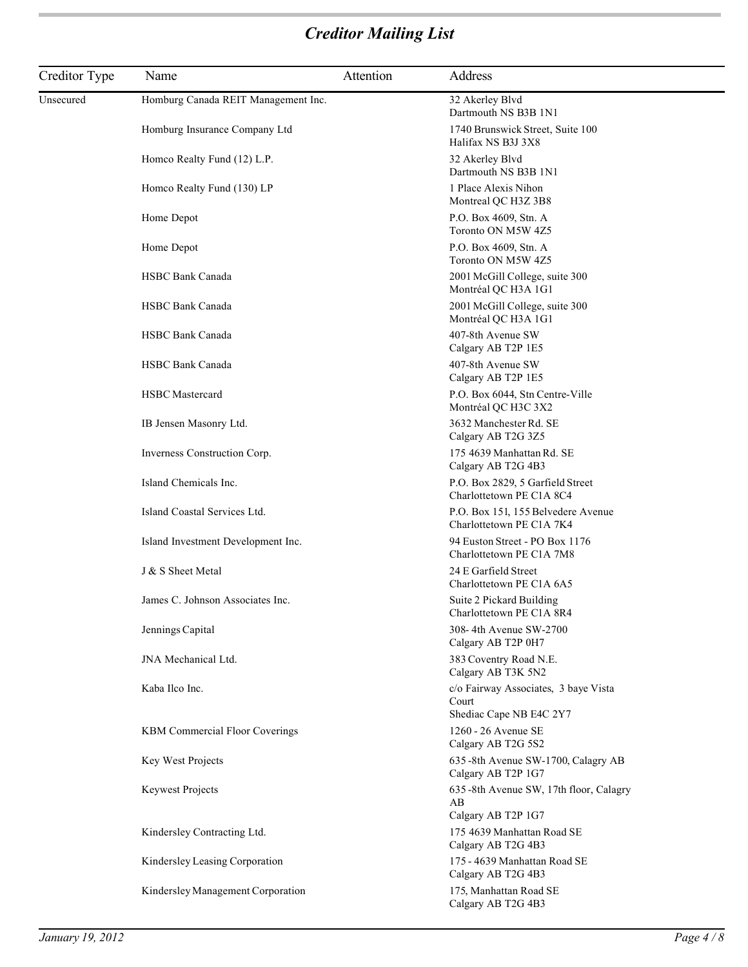| Creditor Type | Name                                  | Attention | Address                                                                  |
|---------------|---------------------------------------|-----------|--------------------------------------------------------------------------|
| Unsecured     | Homburg Canada REIT Management Inc.   |           | 32 Akerley Blvd<br>Dartmouth NS B3B 1N1                                  |
|               | Homburg Insurance Company Ltd         |           | 1740 Brunswick Street, Suite 100<br>Halifax NS B3J 3X8                   |
|               | Homco Realty Fund (12) L.P.           |           | 32 Akerley Blvd<br>Dartmouth NS B3B 1N1                                  |
|               | Homco Realty Fund (130) LP            |           | 1 Place Alexis Nihon<br>Montreal QC H3Z 3B8                              |
|               | Home Depot                            |           | P.O. Box 4609, Stn. A<br>Toronto ON M5W 4Z5                              |
|               | Home Depot                            |           | P.O. Box 4609, Stn. A<br>Toronto ON M5W 4Z5                              |
|               | <b>HSBC Bank Canada</b>               |           | 2001 McGill College, suite 300<br>Montréal QC H3A 1G1                    |
|               | <b>HSBC Bank Canada</b>               |           | 2001 McGill College, suite 300<br>Montréal QC H3A 1G1                    |
|               | <b>HSBC Bank Canada</b>               |           | 407-8th Avenue SW<br>Calgary AB T2P 1E5                                  |
|               | <b>HSBC Bank Canada</b>               |           | 407-8th Avenue SW<br>Calgary AB T2P 1E5                                  |
|               | <b>HSBC</b> Mastercard                |           | P.O. Box 6044, Stn Centre-Ville<br>Montréal QC H3C 3X2                   |
|               | IB Jensen Masonry Ltd.                |           | 3632 Manchester Rd. SE<br>Calgary AB T2G 3Z5                             |
|               | Inverness Construction Corp.          |           | 175 4639 Manhattan Rd. SE<br>Calgary AB T2G 4B3                          |
|               | Island Chemicals Inc.                 |           | P.O. Box 2829, 5 Garfield Street<br>Charlottetown PE C1A 8C4             |
|               | Island Coastal Services Ltd.          |           | P.O. Box 151, 155 Belvedere Avenue<br>Charlottetown PE C1A 7K4           |
|               | Island Investment Development Inc.    |           | 94 Euston Street - PO Box 1176<br>Charlottetown PE C1A 7M8               |
|               | J & S Sheet Metal                     |           | 24 E Garfield Street<br>Charlottetown PE C1A 6A5                         |
|               | James C. Johnson Associates Inc.      |           | Suite 2 Pickard Building<br>Charlottetown PE C1A 8R4                     |
|               | Jennings Capital                      |           | 308-4th Avenue SW-2700<br>Calgary AB T2P 0H7                             |
|               | JNA Mechanical Ltd.                   |           | 383 Coventry Road N.E.<br>Calgary AB T3K 5N2                             |
|               | Kaba Ilco Inc.                        |           | c/o Fairway Associates, 3 baye Vista<br>Court<br>Shediac Cape NB E4C 2Y7 |
|               | <b>KBM Commercial Floor Coverings</b> |           | 1260 - 26 Avenue SE<br>Calgary AB T2G 5S2                                |
|               | Key West Projects                     |           | 635-8th Avenue SW-1700, Calagry AB<br>Calgary AB T2P 1G7                 |
|               | Keywest Projects                      |           | 635-8th Avenue SW, 17th floor, Calagry<br>AB<br>Calgary AB T2P 1G7       |
|               | Kindersley Contracting Ltd.           |           | 175 4639 Manhattan Road SE<br>Calgary AB T2G 4B3                         |
|               | Kindersley Leasing Corporation        |           | 175 - 4639 Manhattan Road SE<br>Calgary AB T2G 4B3                       |
|               | Kindersley Management Corporation     |           | 175, Manhattan Road SE<br>Calgary AB T2G 4B3                             |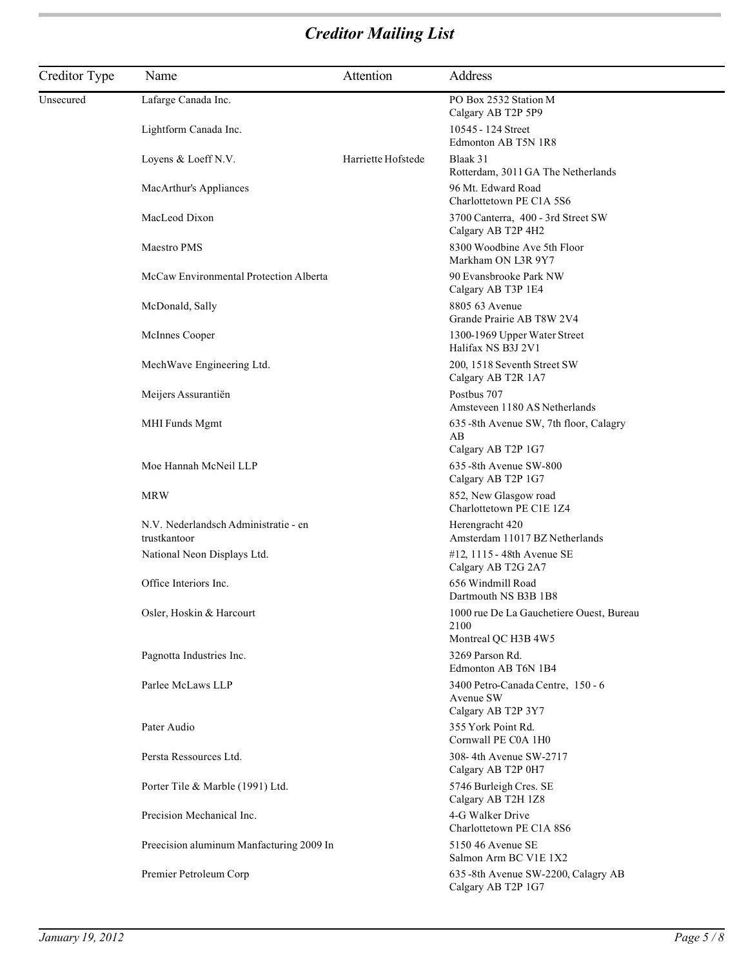| Creditor Type | Name                                                 | Attention          | Address                                                                 |
|---------------|------------------------------------------------------|--------------------|-------------------------------------------------------------------------|
| Unsecured     | Lafarge Canada Inc.                                  |                    | PO Box 2532 Station M<br>Calgary AB T2P 5P9                             |
|               | Lightform Canada Inc.                                |                    | 10545 - 124 Street<br>Edmonton AB T5N 1R8                               |
|               | Loyens & Loeff N.V.                                  | Harriette Hofstede | Blaak 31<br>Rotterdam, 3011 GA The Netherlands                          |
|               | MacArthur's Appliances                               |                    | 96 Mt. Edward Road<br>Charlottetown PE C1A 5S6                          |
|               | MacLeod Dixon                                        |                    | 3700 Canterra, 400 - 3rd Street SW<br>Calgary AB T2P 4H2                |
|               | Maestro PMS                                          |                    | 8300 Woodbine Ave 5th Floor<br>Markham ON L3R 9Y7                       |
|               | McCaw Environmental Protection Alberta               |                    | 90 Evansbrooke Park NW<br>Calgary AB T3P 1E4                            |
|               | McDonald, Sally                                      |                    | 8805 63 Avenue<br>Grande Prairie AB T8W 2V4                             |
|               | McInnes Cooper                                       |                    | 1300-1969 Upper Water Street<br>Halifax NS B3J 2V1                      |
|               | MechWave Engineering Ltd.                            |                    | 200, 1518 Seventh Street SW<br>Calgary AB T2R 1A7                       |
|               | Meijers Assurantiën                                  |                    | Postbus 707<br>Amsteveen 1180 AS Netherlands                            |
|               | MHI Funds Mgmt                                       |                    | 635 -8th Avenue SW, 7th floor, Calagry<br>AВ<br>Calgary AB T2P 1G7      |
|               | Moe Hannah McNeil LLP                                |                    | 635-8th Avenue SW-800<br>Calgary AB T2P 1G7                             |
|               | MRW                                                  |                    | 852, New Glasgow road<br>Charlottetown PE C1E 1Z4                       |
|               | N.V. Nederlandsch Administratie - en<br>trustkantoor |                    | Herengracht 420<br>Amsterdam 11017 BZ Netherlands                       |
|               | National Neon Displays Ltd.                          |                    | #12, 1115 - 48th Avenue SE<br>Calgary AB T2G 2A7                        |
|               | Office Interiors Inc.                                |                    | 656 Windmill Road<br>Dartmouth NS B3B 1B8                               |
|               | Osler, Hoskin & Harcourt                             |                    | 1000 rue De La Gauchetiere Ouest, Bureau<br>2100<br>Montreal QC H3B 4W5 |
|               | Pagnotta Industries Inc.                             |                    | 3269 Parson Rd.<br>Edmonton AB T6N 1B4                                  |
|               | Parlee McLaws LLP                                    |                    | 3400 Petro-Canada Centre, 150 - 6<br>Avenue SW<br>Calgary AB T2P 3Y7    |
|               | Pater Audio                                          |                    | 355 York Point Rd.<br>Cornwall PE C0A 1H0                               |
|               | Persta Ressources Ltd.                               |                    | 308-4th Avenue SW-2717<br>Calgary AB T2P 0H7                            |
|               | Porter Tile & Marble (1991) Ltd.                     |                    | 5746 Burleigh Cres. SE<br>Calgary AB T2H 1Z8                            |
|               | Precision Mechanical Inc.                            |                    | 4-G Walker Drive<br>Charlottetown PE C1A 8S6                            |
|               | Preecision aluminum Manfacturing 2009 In             |                    | 5150 46 Avenue SE<br>Salmon Arm BC V1E 1X2                              |
|               | Premier Petroleum Corp                               |                    | 635-8th Avenue SW-2200, Calagry AB<br>Calgary AB T2P 1G7                |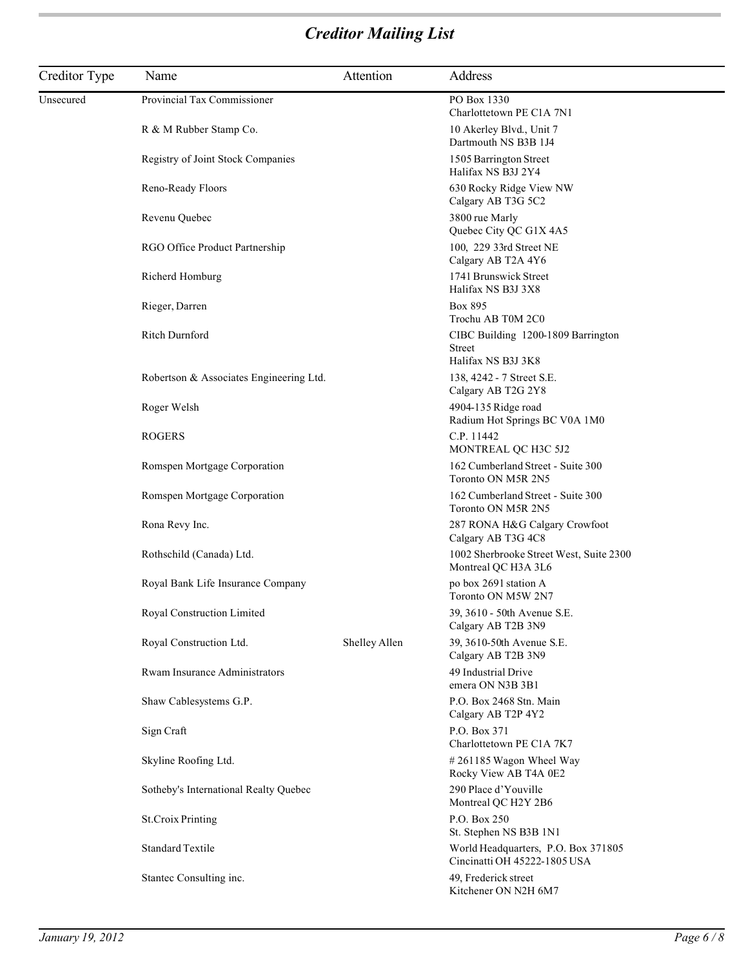| Creditor Type | Name                                    | Attention     | Address                                                             |
|---------------|-----------------------------------------|---------------|---------------------------------------------------------------------|
| Unsecured     | Provincial Tax Commissioner             |               | PO Box 1330<br>Charlottetown PE C1A 7N1                             |
|               | R & M Rubber Stamp Co.                  |               | 10 Akerley Blvd., Unit 7<br>Dartmouth NS B3B 1J4                    |
|               | Registry of Joint Stock Companies       |               | 1505 Barrington Street<br>Halifax NS B3J 2Y4                        |
|               | Reno-Ready Floors                       |               | 630 Rocky Ridge View NW<br>Calgary AB T3G 5C2                       |
|               | Revenu Quebec                           |               | 3800 rue Marly<br>Quebec City QC G1X 4A5                            |
|               | RGO Office Product Partnership          |               | 100, 229 33rd Street NE<br>Calgary AB T2A 4Y6                       |
|               | Richerd Homburg                         |               | 1741 Brunswick Street<br>Halifax NS B3J 3X8                         |
|               | Rieger, Darren                          |               | Box 895<br>Trochu AB T0M 2C0                                        |
|               | <b>Ritch Durnford</b>                   |               | CIBC Building 1200-1809 Barrington<br>Street<br>Halifax NS B3J 3K8  |
|               | Robertson & Associates Engineering Ltd. |               | 138, 4242 - 7 Street S.E.<br>Calgary AB T2G 2Y8                     |
|               | Roger Welsh                             |               | 4904-135 Ridge road<br>Radium Hot Springs BC V0A 1M0                |
|               | <b>ROGERS</b>                           |               | C.P. 11442<br>MONTREAL QC H3C 5J2                                   |
|               | Romspen Mortgage Corporation            |               | 162 Cumberland Street - Suite 300<br>Toronto ON M5R 2N5             |
|               | Romspen Mortgage Corporation            |               | 162 Cumberland Street - Suite 300<br>Toronto ON M5R 2N5             |
|               | Rona Revy Inc.                          |               | 287 RONA H&G Calgary Crowfoot<br>Calgary AB T3G 4C8                 |
|               | Rothschild (Canada) Ltd.                |               | 1002 Sherbrooke Street West, Suite 2300<br>Montreal QC H3A 3L6      |
|               | Royal Bank Life Insurance Company       |               | po box 2691 station A<br>Toronto ON M5W 2N7                         |
|               | Royal Construction Limited              |               | 39, 3610 - 50th Avenue S.E.<br>Calgary AB T2B 3N9                   |
|               | Royal Construction Ltd.                 | Shelley Allen | 39, 3610-50th Avenue S.E.<br>Calgary AB T2B 3N9                     |
|               | Rwam Insurance Administrators           |               | 49 Industrial Drive<br>emera ON N3B 3B1                             |
|               | Shaw Cablesystems G.P.                  |               | P.O. Box 2468 Stn. Main<br>Calgary AB T2P 4Y2                       |
|               | Sign Craft                              |               | P.O. Box 371<br>Charlottetown PE C1A 7K7                            |
|               | Skyline Roofing Ltd.                    |               | #261185 Wagon Wheel Way<br>Rocky View AB T4A 0E2                    |
|               | Sotheby's International Realty Quebec   |               | 290 Place d'Youville<br>Montreal QC H2Y 2B6                         |
|               | <b>St.Croix Printing</b>                |               | P.O. Box 250<br>St. Stephen NS B3B 1N1                              |
|               | <b>Standard Textile</b>                 |               | World Headquarters, P.O. Box 371805<br>Cincinatti OH 45222-1805 USA |
|               | Stantec Consulting inc.                 |               | 49, Frederick street<br>Kitchener ON N2H 6M7                        |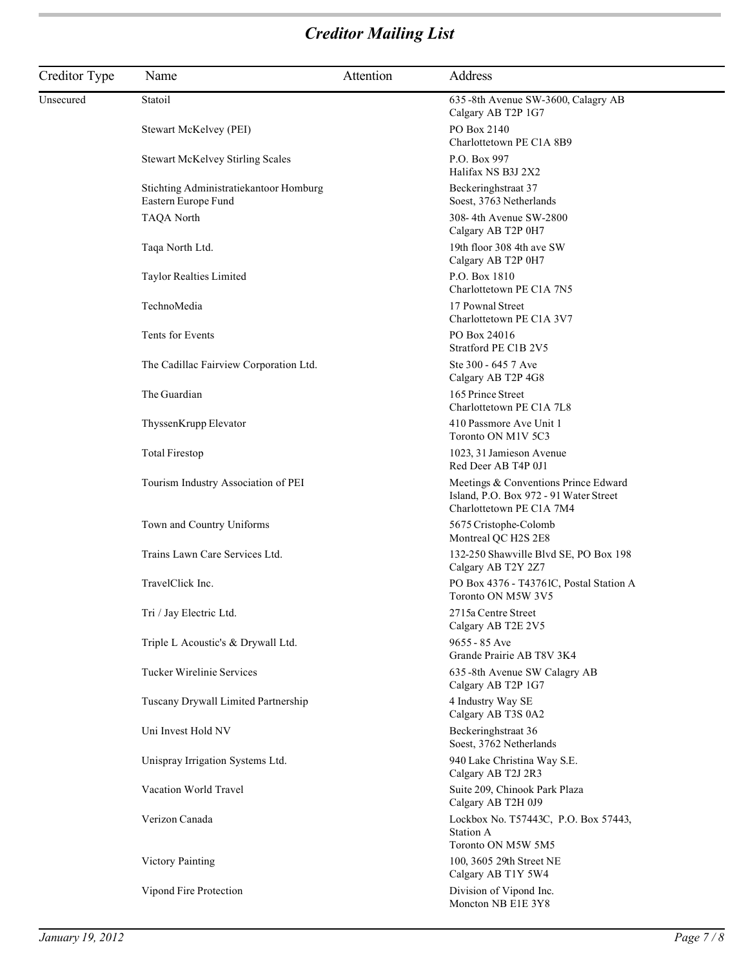| Creditor Type | Name                                                          | Attention | Address                                                                                                    |
|---------------|---------------------------------------------------------------|-----------|------------------------------------------------------------------------------------------------------------|
| Unsecured     | Statoil                                                       |           | 635-8th Avenue SW-3600, Calagry AB<br>Calgary AB T2P 1G7                                                   |
|               | Stewart McKelvey (PEI)                                        |           | PO Box 2140<br>Charlottetown PE C1A 8B9                                                                    |
|               | <b>Stewart McKelvey Stirling Scales</b>                       |           | P.O. Box 997<br>Halifax NS B3J 2X2                                                                         |
|               | Stichting Administratiekantoor Homburg<br>Eastern Europe Fund |           | Beckeringhstraat 37<br>Soest, 3763 Netherlands                                                             |
|               | <b>TAQA North</b>                                             |           | 308-4th Avenue SW-2800<br>Calgary AB T2P 0H7                                                               |
|               | Taqa North Ltd.                                               |           | 19th floor 308 4th ave SW<br>Calgary AB T2P 0H7                                                            |
|               | Taylor Realties Limited                                       |           | P.O. Box 1810<br>Charlottetown PE C1A 7N5                                                                  |
|               | TechnoMedia                                                   |           | 17 Pownal Street<br>Charlottetown PE C1A 3V7                                                               |
|               | Tents for Events                                              |           | PO Box 24016<br>Stratford PE C1B 2V5                                                                       |
|               | The Cadillac Fairview Corporation Ltd.                        |           | Ste 300 - 645 7 Ave<br>Calgary AB T2P 4G8                                                                  |
|               | The Guardian                                                  |           | 165 Prince Street<br>Charlottetown PE C1A 7L8                                                              |
|               | ThyssenKrupp Elevator                                         |           | 410 Passmore Ave Unit 1<br>Toronto ON M1V 5C3                                                              |
|               | <b>Total Firestop</b>                                         |           | 1023, 31 Jamieson Avenue<br>Red Deer AB T4P 0J1                                                            |
|               | Tourism Industry Association of PEI                           |           | Meetings & Conventions Prince Edward<br>Island, P.O. Box 972 - 91 Water Street<br>Charlottetown PE C1A 7M4 |
|               | Town and Country Uniforms                                     |           | 5675 Cristophe-Colomb<br>Montreal QC H2S 2E8                                                               |
|               | Trains Lawn Care Services Ltd.                                |           | 132-250 Shawville Blvd SE, PO Box 198<br>Calgary AB T2Y 2Z7                                                |
|               | TravelClick Inc.                                              |           | PO Box 4376 - T43761C, Postal Station A<br>Toronto ON M5W 3V5                                              |
|               | Tri / Jay Electric Ltd.                                       |           | 2715a Centre Street<br>Calgary AB T2E 2V5                                                                  |
|               | Triple L Acoustic's & Drywall Ltd.                            |           | 9655 - 85 Ave<br>Grande Prairie AB T8V 3K4                                                                 |
|               | Tucker Wirelinie Services                                     |           | 635-8th Avenue SW Calagry AB<br>Calgary AB T2P 1G7                                                         |
|               | Tuscany Drywall Limited Partnership                           |           | 4 Industry Way SE<br>Calgary AB T3S 0A2                                                                    |
|               | Uni Invest Hold NV                                            |           | Beckeringhstraat 36<br>Soest, 3762 Netherlands                                                             |
|               | Unispray Irrigation Systems Ltd.                              |           | 940 Lake Christina Way S.E.<br>Calgary AB T2J 2R3                                                          |
|               | Vacation World Travel                                         |           | Suite 209, Chinook Park Plaza<br>Calgary AB T2H 0J9                                                        |
|               | Verizon Canada                                                |           | Lockbox No. T57443C, P.O. Box 57443,<br><b>Station A</b><br>Toronto ON M5W 5M5                             |
|               | Victory Painting                                              |           | 100, 3605 29th Street NE<br>Calgary AB T1Y 5W4                                                             |
|               | Vipond Fire Protection                                        |           | Division of Vipond Inc.<br>Moncton NB E1E 3Y8                                                              |